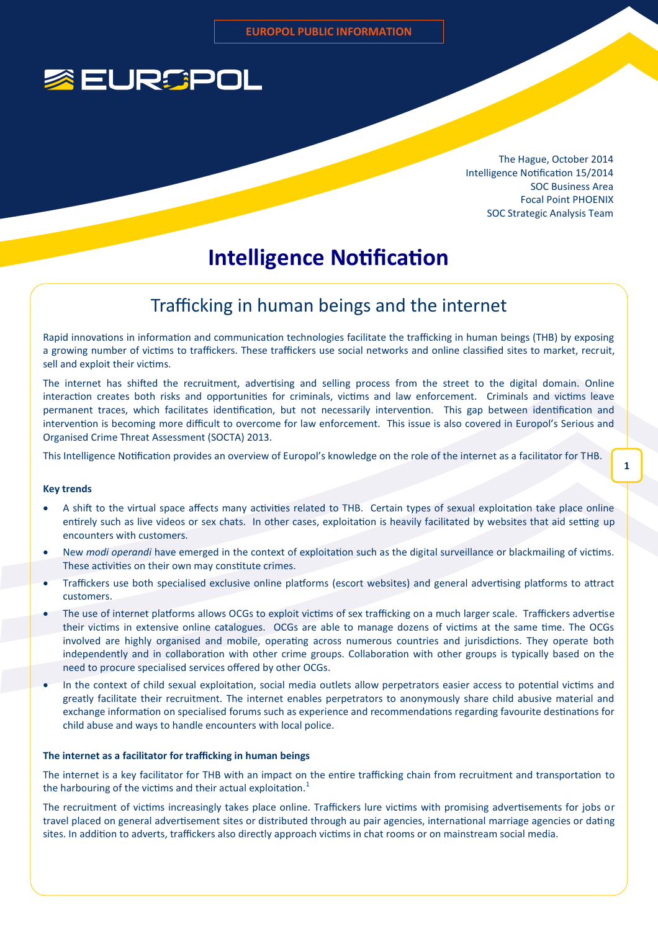

The Hague, October 2014 Intelligence Notification 15/2014 SOC Business Area Focal Point PHOENIX SOC Strategic Analysis Team

**1**

# **Intelligence Notification**

### Trafficking in human beings and the internet

Rapid innovations in information and communication technologies facilitate the trafficking in human beings (THB) by exposing a growing number of victims to traffickers. These traffickers use social networks and online classified sites to market, recruit, sell and exploit their victims.

The internet has shifted the recruitment, advertising and selling process from the street to the digital domain. Online interaction creates both risks and opportunities for criminals, victims and law enforcement. Criminals and victims leave permanent traces, which facilitates identification, but not necessarily intervention. This gap between identification and intervention is becoming more difficult to overcome for law enforcement. This issue is also covered in Europol's Serious and Organised Crime Threat Assessment (SOCTA) 2013.

This Intelligence Notification provides an overview of Europol's knowledge on the role of the internet as a facilitator for THB.

#### **Key trends**

- A shift to the virtual space affects many activities related to THB. Certain types of sexual exploitation take place online entirely such as live videos or sex chats. In other cases, exploitation is heavily facilitated by websites that aid setting up encounters with customers.
- New *modi operandi* have emerged in the context of exploitation such as the digital surveillance or blackmailing of victims. These activities on their own may constitute crimes.
- Traffickers use both specialised exclusive online platforms (escort websites) and general advertising platforms to attract customers.
- The use of internet platforms allows OCGs to exploit victims of sex trafficking on a much larger scale. Traffickers advertise their victims in extensive online catalogues. OCGs are able to manage dozens of victims at the same time. The OCGs involved are highly organised and mobile, operating across numerous countries and jurisdictions. They operate both independently and in collaboration with other crime groups. Collaboration with other groups is typically based on the need to procure specialised services offered by other OCGs.
- In the context of child sexual exploitation, social media outlets allow perpetrators easier access to potential victims and greatly facilitate their recruitment. The internet enables perpetrators to anonymously share child abusive material and exchange information on specialised forums such as experience and recommendations regarding favourite destinations for child abuse and ways to handle encounters with local police.

#### **The internet as a facilitator for trafficking in human beings**

The internet is a key facilitator for THB with an impact on the entire trafficking chain from recruitment and transportation to the harbouring of the victims and their actual exploitation. $<sup>1</sup>$ </sup>

The recruitment of victims increasingly takes place online. Traffickers lure victims with promising advertisements for jobs or travel placed on general advertisement sites or distributed through au pair agencies, international marriage agencies or dating sites. In addition to adverts, traffickers also directly approach victims in chat rooms or on mainstream social media.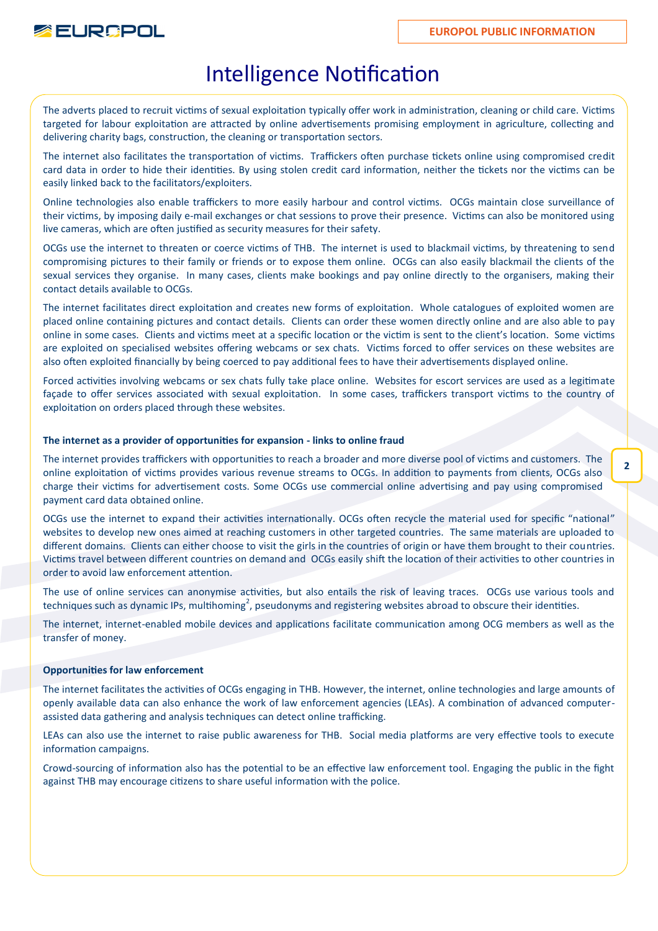

# Intelligence Notification

The adverts placed to recruit victims of sexual exploitation typically offer work in administration, cleaning or child care. Victims targeted for labour exploitation are attracted by online advertisements promising employment in agriculture, collecting and delivering charity bags, construction, the cleaning or transportation sectors.

The internet also facilitates the transportation of victims. Traffickers often purchase tickets online using compromised credit card data in order to hide their identities. By using stolen credit card information, neither the tickets nor the victims can be easily linked back to the facilitators/exploiters.

Online technologies also enable traffickers to more easily harbour and control victims. OCGs maintain close surveillance of their victims, by imposing daily e-mail exchanges or chat sessions to prove their presence. Victims can also be monitored using live cameras, which are often justified as security measures for their safety.

OCGs use the internet to threaten or coerce victims of THB. The internet is used to blackmail victims, by threatening to send compromising pictures to their family or friends or to expose them online. OCGs can also easily blackmail the clients of the sexual services they organise. In many cases, clients make bookings and pay online directly to the organisers, making their contact details available to OCGs.

The internet facilitates direct exploitation and creates new forms of exploitation. Whole catalogues of exploited women are placed online containing pictures and contact details. Clients can order these women directly online and are also able to pay online in some cases. Clients and victims meet at a specific location or the victim is sent to the client's location. Some victims are exploited on specialised websites offering webcams or sex chats. Victims forced to offer services on these websites are also often exploited financially by being coerced to pay additional fees to have their advertisements displayed online.

Forced activities involving webcams or sex chats fully take place online. Websites for escort services are used as a legitimate façade to offer services associated with sexual exploitation. In some cases, traffickers transport victims to the country of exploitation on orders placed through these websites.

#### **The internet as a provider of opportunities for expansion - links to online fraud**

The internet provides traffickers with opportunities to reach a broader and more diverse pool of victims and customers. The online exploitation of victims provides various revenue streams to OCGs. In addition to payments from clients, OCGs also charge their victims for advertisement costs. Some OCGs use commercial online advertising and pay using compromised payment card data obtained online.

OCGs use the internet to expand their activities internationally. OCGs often recycle the material used for specific "national" websites to develop new ones aimed at reaching customers in other targeted countries. The same materials are uploaded to different domains. Clients can either choose to visit the girls in the countries of origin or have them brought to their countries. Victims travel between different countries on demand and OCGs easily shift the location of their activities to other countries in order to avoid law enforcement attention.

The use of online services can anonymise activities, but also entails the risk of leaving traces. OCGs use various tools and techniques such as dynamic IPs, multihoming<sup>2</sup>, pseudonyms and registering websites abroad to obscure their identities.

The internet, internet-enabled mobile devices and applications facilitate communication among OCG members as well as the transfer of money.

#### **Opportunities for law enforcement**

The internet facilitates the activities of OCGs engaging in THB. However, the internet, online technologies and large amounts of openly available data can also enhance the work of law enforcement agencies (LEAs). A combination of advanced computerassisted data gathering and analysis techniques can detect online trafficking.

LEAs can also use the internet to raise public awareness for THB. Social media platforms are very effective tools to execute information campaigns.

Crowd-sourcing of information also has the potential to be an effective law enforcement tool. Engaging the public in the fight against THB may encourage citizens to share useful information with the police.